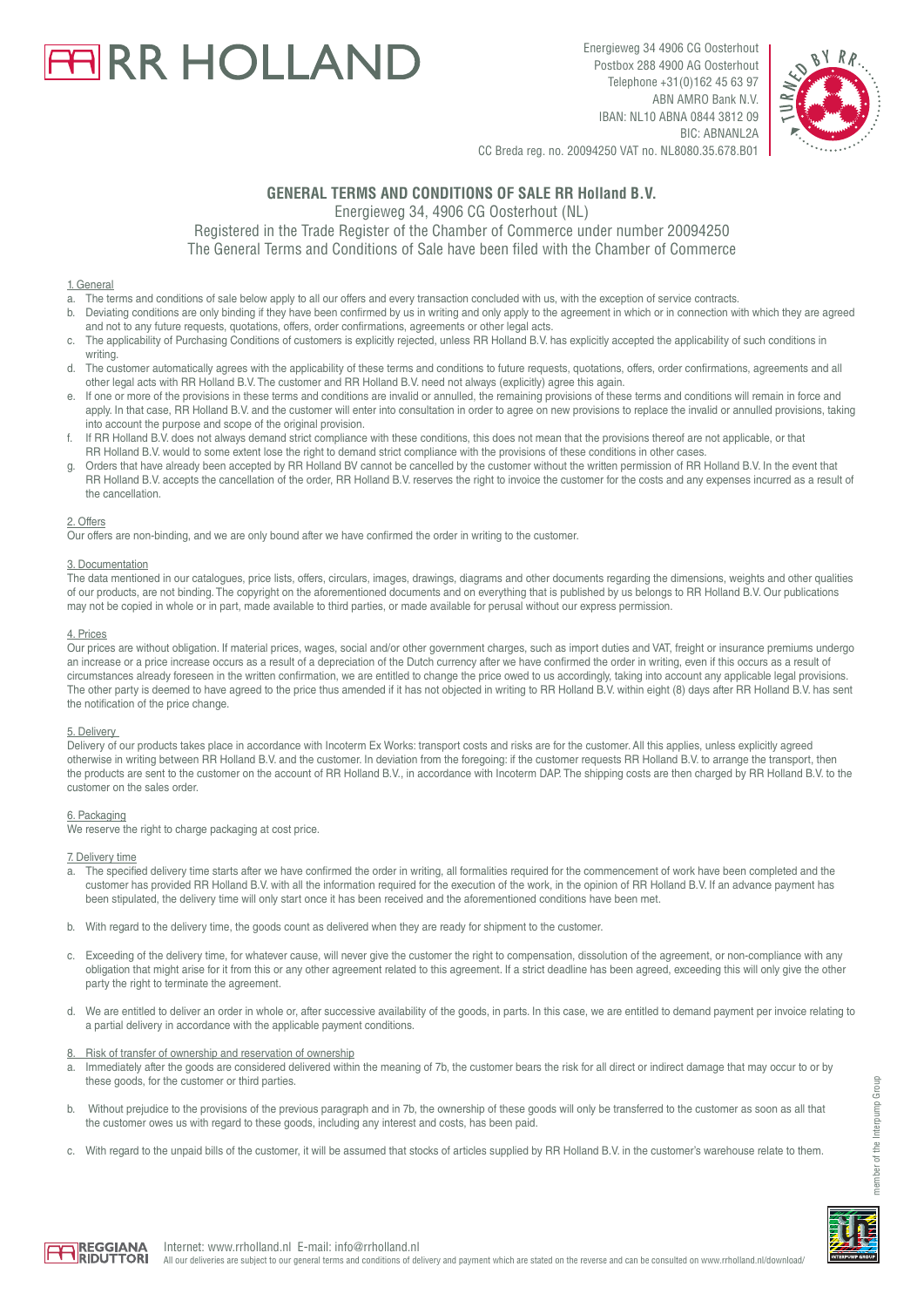# **ARR HOLLAND**

Energieweg 34 4906 CG Oosterhout Postbox 288 4900 AG Oosterhout Telephone +31(0)162 45 63 97 ABN AMRO Bank N.V. IBAN: NL10 ABNA 0844 3812 09 BIC: ABNANL2A



CC Breda reg. no. 20094250 VAT no. NL8080.35.678.B01

# **GENERAL TERMS AND CONDITIONS OF SALE RR Holland B.V.**

Energieweg 34, 4906 CG Oosterhout (NL)

Registered in the Trade Register of the Chamber of Commerce under number 20094250 The General Terms and Conditions of Sale have been filed with the Chamber of Commerce

# 1. General

- a. The terms and conditions of sale below apply to all our offers and every transaction concluded with us, with the exception of service contracts.
- b. Deviating conditions are only binding if they have been confirmed by us in writing and only apply to the agreement in which or in connection with which they are agreed and not to any future requests, quotations, offers, order confirmations, agreements or other legal acts.
- c. The applicability of Purchasing Conditions of customers is explicitly rejected, unless RR Holland B.V. has explicitly accepted the applicability of such conditions in
- writing.<br>d The cu The customer automatically agrees with the applicability of these terms and conditions to future requests, quotations, offers, order confirmations, agreements and all other legal acts with RR Holland B.V. The customer and RR Holland B.V. need not always (explicitly) agree this again.
- If one or more of the provisions in these terms and conditions are invalid or annulled, the remaining provisions of these terms and conditions will remain in force and apply. In that case, RR Holland B.V. and the customer will enter into consultation in order to agree on new provisions to replace the invalid or annulled provisions, taking into account the purpose and scope of the original provision.
- f. If RR Holland B.V. does not always demand strict compliance with these conditions, this does not mean that the provisions thereof are not applicable, or that RR Holland B.V. would to some extent lose the right to demand strict compliance with the provisions of these conditions in other cases.
- Orders that have already been accepted by RR Holland BV cannot be cancelled by the customer without the written permission of RR Holland B.V. In the event that RR Holland B.V. accepts the cancellation of the order, RR Holland B.V. reserves the right to invoice the customer for the costs and any expenses incurred as a result of the cancellation.

#### 2. Offers

Our offers are non-binding, and we are only bound after we have confirmed the order in writing to the customer.

#### 3. Documentation

The data mentioned in our catalogues, price lists, offers, circulars, images, drawings, diagrams and other documents regarding the dimensions, weights and other qualities of our products, are not binding. The copyright on the aforementioned documents and on everything that is published by us belongs to RR Holland B.V. Our publications may not be copied in whole or in part, made available to third parties, or made available for perusal without our express permission.

# 4. Prices

Our prices are without obligation. If material prices, wages, social and/or other government charges, such as import duties and VAT, freight or insurance premiums undergo an increase or a price increase occurs as a result of a depreciation of the Dutch currency after we have confirmed the order in writing, even if this occurs as a result of circumstances already foreseen in the written confirmation, we are entitled to change the price owed to us accordingly, taking into account any applicable legal provisions. The other party is deemed to have agreed to the price thus amended if it has not objected in writing to RR Holland B.V. within eight (8) days after RR Holland B.V. has sent the notification of the price change.

#### 5. Delivery

Delivery of our products takes place in accordance with Incoterm Ex Works: transport costs and risks are for the customer. All this applies, unless explicitly agreed otherwise in writing between RR Holland B.V. and the customer. In deviation from the foregoing: if the customer requests RR Holland B.V. to arrange the transport, then the products are sent to the customer on the account of RR Holland B.V., in accordance with Incoterm DAP. The shipping costs are then charged by RR Holland B.V. to the customer on the sales order.

#### 6. Packaging

We reserve the right to charge packaging at cost price.

#### 7. Delivery time

- The specified delivery time starts after we have confirmed the order in writing, all formalities required for the commencement of work have been completed and the customer has provided RR Holland B.V. with all the information required for the execution of the work, in the opinion of RR Holland B.V. If an advance payment has been stipulated, the delivery time will only start once it has been received and the aforementioned conditions have been met.
- b. With regard to the delivery time, the goods count as delivered when they are ready for shipment to the customer.
- c. Exceeding of the delivery time, for whatever cause, will never give the customer the right to compensation, dissolution of the agreement, or non-compliance with any obligation that might arise for it from this or any other agreement related to this agreement. If a strict deadline has been agreed, exceeding this will only give the other party the right to terminate the agreement.
- d. We are entitled to deliver an order in whole or, after successive availability of the goods, in parts. In this case, we are entitled to demand payment per invoice relating to a partial delivery in accordance with the applicable payment conditions.

#### Risk of transfer of ownership and reservation of ownership

- Immediately after the goods are considered delivered within the meaning of 7b, the customer bears the risk for all direct or indirect damage that may occur to or by these goods, for the customer or third parties.
- b. Without prejudice to the provisions of the previous paragraph and in 7b, the ownership of these goods will only be transferred to the customer as soon as all that the customer owes us with regard to these goods, including any interest and costs, has been paid.
- With regard to the unpaid bills of the customer, it will be assumed that stocks of articles supplied by RR Holland B.V. in the customer's warehouse relate to them.